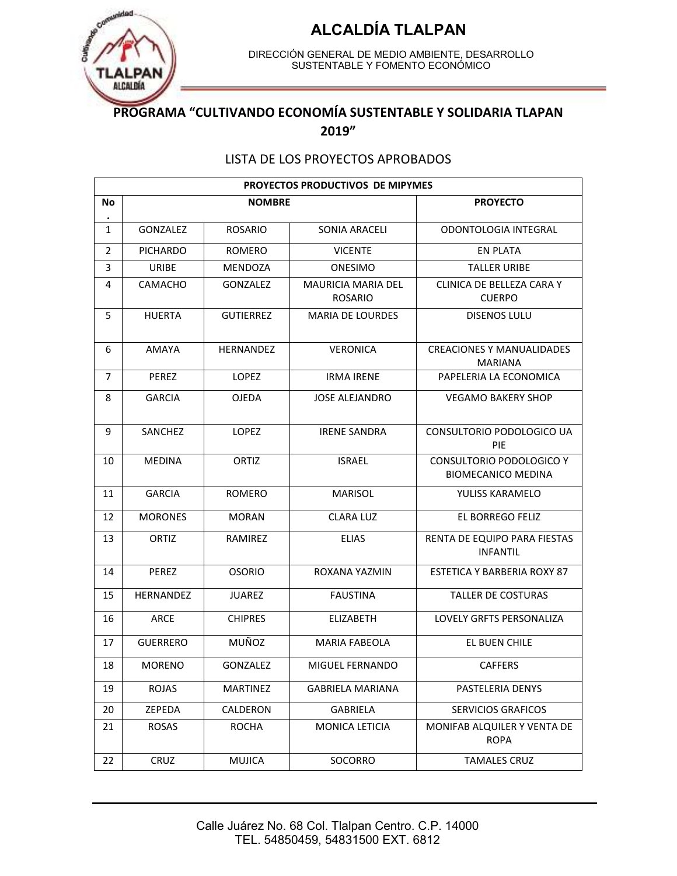

DIRECCIÓN GENERAL DE MEDIO AMBIENTE, DESARROLLO SUSTENTABLE Y FOMENTO ECONÓMICO

#### **PROGRAMA "CULTIVANDO ECONOMÍA SUSTENTABLE Y SOLIDARIA TLAPAN 2019"**

#### LISTA DE LOS PROYECTOS APROBADOS

|                | <b>PROYECTOS PRODUCTIVOS DE MIPYMES</b> |                  |                                             |                                                       |  |  |  |
|----------------|-----------------------------------------|------------------|---------------------------------------------|-------------------------------------------------------|--|--|--|
| No             |                                         | <b>NOMBRE</b>    |                                             | <b>PROYECTO</b>                                       |  |  |  |
| $\mathbf{1}$   | GONZALEZ                                | <b>ROSARIO</b>   | SONIA ARACELI                               | ODONTOLOGIA INTEGRAL                                  |  |  |  |
| 2              | <b>PICHARDO</b>                         | <b>ROMERO</b>    | <b>VICENTE</b>                              | <b>EN PLATA</b>                                       |  |  |  |
| 3              | URIBE                                   | MENDOZA          | <b>ONESIMO</b>                              | <b>TALLER URIBE</b>                                   |  |  |  |
| 4              | CAMACHO                                 | GONZALEZ         | <b>MAURICIA MARIA DEL</b><br><b>ROSARIO</b> | CLINICA DE BELLEZA CARA Y<br><b>CUERPO</b>            |  |  |  |
| 5              | <b>HUERTA</b>                           | <b>GUTIERREZ</b> | <b>MARIA DE LOURDES</b>                     | <b>DISENOS LULU</b>                                   |  |  |  |
| 6              | AMAYA                                   | <b>HERNANDEZ</b> | <b>VERONICA</b>                             | <b>CREACIONES Y MANUALIDADES</b><br><b>MARIANA</b>    |  |  |  |
| $\overline{7}$ | <b>PEREZ</b>                            | <b>LOPEZ</b>     | <b>IRMA IRENE</b>                           | PAPELERIA LA ECONOMICA                                |  |  |  |
| 8              | <b>GARCIA</b>                           | <b>OJEDA</b>     | <b>JOSE ALEJANDRO</b>                       | <b>VEGAMO BAKERY SHOP</b>                             |  |  |  |
| 9              | <b>SANCHEZ</b>                          | <b>LOPEZ</b>     | <b>IRENE SANDRA</b>                         | CONSULTORIO PODOLOGICO UA<br><b>PIE</b>               |  |  |  |
| 10             | <b>MEDINA</b>                           | ORTIZ            | <b>ISRAEL</b>                               | CONSULTORIO PODOLOGICO Y<br><b>BIOMECANICO MEDINA</b> |  |  |  |
| 11             | <b>GARCIA</b>                           | ROMERO           | <b>MARISOL</b>                              | YULISS KARAMELO                                       |  |  |  |
| 12             | <b>MORONES</b>                          | <b>MORAN</b>     | <b>CLARA LUZ</b>                            | EL BORREGO FELIZ                                      |  |  |  |
| 13             | ORTIZ                                   | RAMIREZ          | <b>ELIAS</b>                                | RENTA DE EQUIPO PARA FIESTAS<br><b>INFANTIL</b>       |  |  |  |
| 14             | PEREZ                                   | <b>OSORIO</b>    | ROXANA YAZMIN                               | <b>ESTETICA Y BARBERIA ROXY 87</b>                    |  |  |  |
| 15             | HERNANDEZ                               | <b>JUAREZ</b>    | <b>FAUSTINA</b>                             | <b>TALLER DE COSTURAS</b>                             |  |  |  |
| 16             | ARCE                                    | <b>CHIPRES</b>   | <b>ELIZABETH</b>                            | <b>LOVELY GRFTS PERSONALIZA</b>                       |  |  |  |
| 17             | <b>GUERRERO</b>                         | MUÑOZ            | <b>MARIA FABEOLA</b>                        | EL BUEN CHILE                                         |  |  |  |
| 18             | <b>MORENO</b>                           | GONZALEZ         | MIGUEL FERNANDO                             | <b>CAFFERS</b>                                        |  |  |  |
| 19             | ROJAS                                   | <b>MARTINEZ</b>  | <b>GABRIELA MARIANA</b>                     | PASTELERIA DENYS                                      |  |  |  |
| 20             | ZEPEDA                                  | CALDERON         | GABRIELA                                    | <b>SERVICIOS GRAFICOS</b>                             |  |  |  |
| 21             | ROSAS                                   | <b>ROCHA</b>     | MONICA LETICIA                              | MONIFAB ALQUILER Y VENTA DE<br><b>ROPA</b>            |  |  |  |
| 22             | CRUZ                                    | <b>MUJICA</b>    | SOCORRO                                     | <b>TAMALES CRUZ</b>                                   |  |  |  |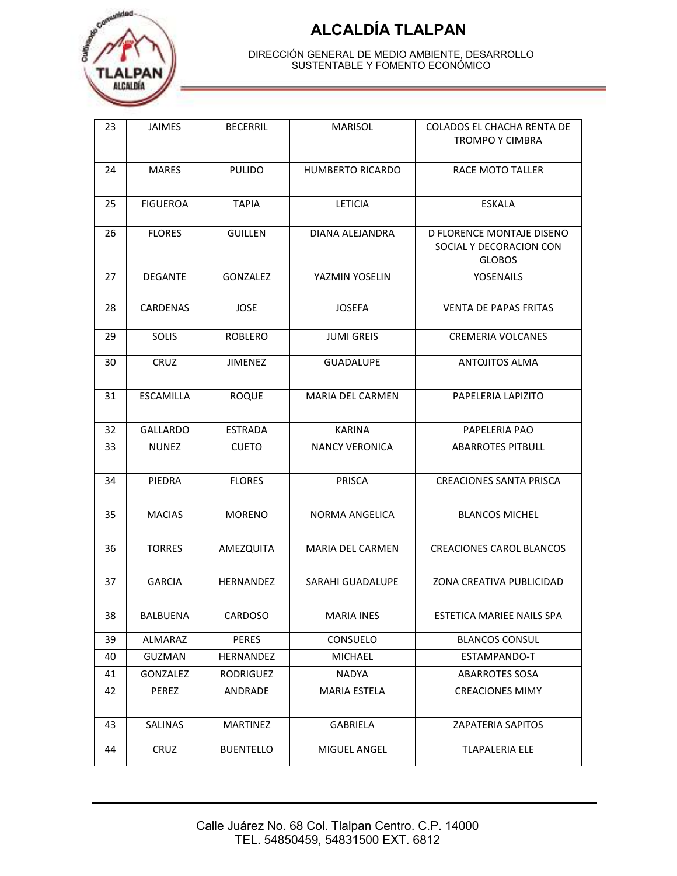

| 23 | <b>JAIMES</b>    | <b>BECERRIL</b>  | <b>MARISOL</b>          | <b>COLADOS EL CHACHA RENTA DE</b><br><b>TROMPO Y CIMBRA</b>           |
|----|------------------|------------------|-------------------------|-----------------------------------------------------------------------|
| 24 | <b>MARES</b>     | <b>PULIDO</b>    | HUMBERTO RICARDO        | RACE MOTO TALLER                                                      |
| 25 | <b>FIGUEROA</b>  | <b>TAPIA</b>     | <b>LETICIA</b>          | <b>ESKALA</b>                                                         |
| 26 | <b>FLORES</b>    | <b>GUILLEN</b>   | DIANA ALEJANDRA         | D FLORENCE MONTAJE DISENO<br>SOCIAL Y DECORACION CON<br><b>GLOBOS</b> |
| 27 | <b>DEGANTE</b>   | GONZALEZ         | YAZMIN YOSELIN          | <b>YOSENAILS</b>                                                      |
| 28 | CARDENAS         | <b>JOSE</b>      | <b>JOSEFA</b>           | <b>VENTA DE PAPAS FRITAS</b>                                          |
| 29 | SOLIS            | <b>ROBLERO</b>   | <b>JUMI GREIS</b>       | <b>CREMERIA VOLCANES</b>                                              |
| 30 | CRUZ             | <b>JIMENEZ</b>   | <b>GUADALUPE</b>        | <b>ANTOJITOS ALMA</b>                                                 |
| 31 | <b>ESCAMILLA</b> | <b>ROQUE</b>     | <b>MARIA DEL CARMEN</b> | PAPELERIA LAPIZITO                                                    |
| 32 | <b>GALLARDO</b>  | <b>ESTRADA</b>   | <b>KARINA</b>           | PAPELERIA PAO                                                         |
| 33 | <b>NUNEZ</b>     | <b>CUETO</b>     | <b>NANCY VERONICA</b>   | <b>ABARROTES PITBULL</b>                                              |
| 34 | PIEDRA           | <b>FLORES</b>    | <b>PRISCA</b>           | <b>CREACIONES SANTA PRISCA</b>                                        |
| 35 | <b>MACIAS</b>    | <b>MORENO</b>    | NORMA ANGELICA          | <b>BLANCOS MICHEL</b>                                                 |
| 36 | <b>TORRES</b>    | AMEZQUITA        | <b>MARIA DEL CARMEN</b> | <b>CREACIONES CAROL BLANCOS</b>                                       |
| 37 | <b>GARCIA</b>    | HERNANDEZ        | SARAHI GUADALUPE        | ZONA CREATIVA PUBLICIDAD                                              |
| 38 | BALBUENA         | CARDOSO          | <b>MARIA INES</b>       | ESTETICA MARIEE NAILS SPA                                             |
| 39 | ALMARAZ          | PERES            | CONSUELO                | <b>BLANCOS CONSUL</b>                                                 |
| 40 | GUZMAN           | HERNANDEZ        | <b>MICHAEL</b>          | ESTAMPANDO-T                                                          |
| 41 | GONZALEZ         | RODRIGUEZ        | NADYA                   | <b>ABARROTES SOSA</b>                                                 |
| 42 | PEREZ            | ANDRADE          | MARIA ESTELA            | <b>CREACIONES MIMY</b>                                                |
| 43 | SALINAS          | <b>MARTINEZ</b>  | <b>GABRIELA</b>         | <b>ZAPATERIA SAPITOS</b>                                              |
| 44 | CRUZ             | <b>BUENTELLO</b> | MIGUEL ANGEL            | <b>TLAPALERIA ELE</b>                                                 |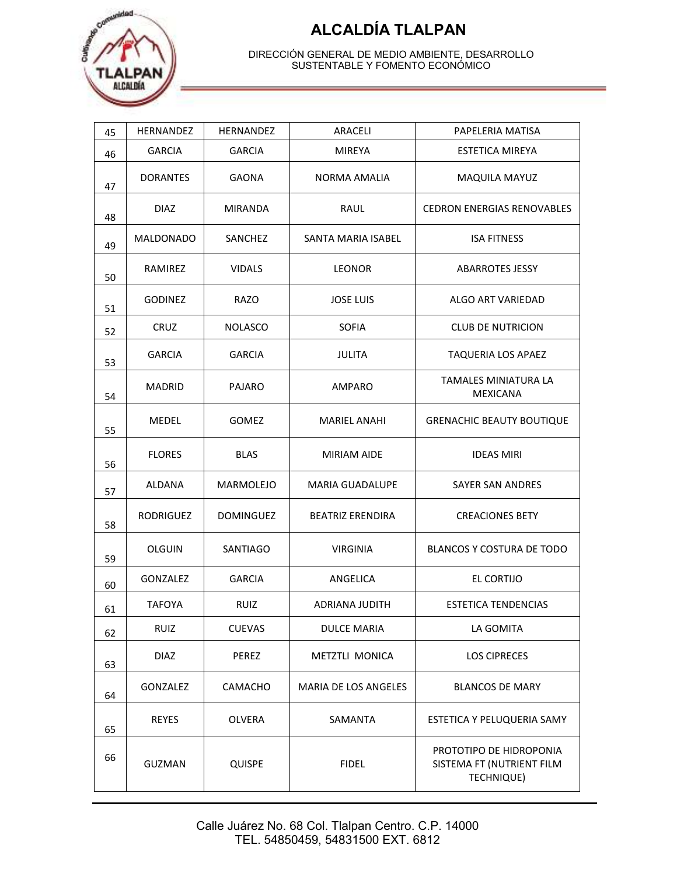

| 45 | <b>HERNANDEZ</b> | <b>HERNANDEZ</b> | ARACELI                     | PAPELERIA MATISA                                                   |
|----|------------------|------------------|-----------------------------|--------------------------------------------------------------------|
| 46 | <b>GARCIA</b>    | <b>GARCIA</b>    | <b>MIREYA</b>               | <b>ESTETICA MIREYA</b>                                             |
| 47 | <b>DORANTES</b>  | GAONA            | NORMA AMALIA                | <b>MAQUILA MAYUZ</b>                                               |
| 48 | <b>DIAZ</b>      | MIRANDA          | RAUL                        | <b>CEDRON ENERGIAS RENOVABLES</b>                                  |
| 49 | MALDONADO        | SANCHEZ          | SANTA MARIA ISABEL          | <b>ISA FITNESS</b>                                                 |
| 50 | RAMIREZ          | <b>VIDALS</b>    | <b>LEONOR</b>               | <b>ABARROTES JESSY</b>                                             |
| 51 | <b>GODINEZ</b>   | RAZO             | <b>JOSE LUIS</b>            | ALGO ART VARIEDAD                                                  |
| 52 | <b>CRUZ</b>      | <b>NOLASCO</b>   | <b>SOFIA</b>                | <b>CLUB DE NUTRICION</b>                                           |
| 53 | <b>GARCIA</b>    | <b>GARCIA</b>    | <b>JULITA</b>               | <b>TAQUERIA LOS APAEZ</b>                                          |
| 54 | <b>MADRID</b>    | PAJARO           | AMPARO                      | TAMALES MINIATURA LA<br><b>MEXICANA</b>                            |
| 55 | MEDEL            | <b>GOMEZ</b>     | <b>MARIEL ANAHI</b>         | <b>GRENACHIC BEAUTY BOUTIQUE</b>                                   |
| 56 | <b>FLORES</b>    | <b>BLAS</b>      | <b>MIRIAM AIDE</b>          | <b>IDEAS MIRI</b>                                                  |
| 57 | ALDANA           | <b>MARMOLEJO</b> | <b>MARIA GUADALUPE</b>      | SAYER SAN ANDRES                                                   |
| 58 | <b>RODRIGUEZ</b> | <b>DOMINGUEZ</b> | <b>BEATRIZ ERENDIRA</b>     | <b>CREACIONES BETY</b>                                             |
| 59 | <b>OLGUIN</b>    | SANTIAGO         | <b>VIRGINIA</b>             | BLANCOS Y COSTURA DE TODO                                          |
| 60 | GONZALEZ         | <b>GARCIA</b>    | ANGELICA                    | EL CORTIJO                                                         |
| 61 | <b>TAFOYA</b>    | <b>RUIZ</b>      | ADRIANA JUDITH              | <b>ESTETICA TENDENCIAS</b>                                         |
| 62 | <b>RUIZ</b>      | <b>CUEVAS</b>    | <b>DULCE MARIA</b>          | LA GOMITA                                                          |
| 63 | <b>DIAZ</b>      | PEREZ            | METZTLI MONICA              | <b>LOS CIPRECES</b>                                                |
| 64 | <b>GONZALEZ</b>  | CAMACHO          | <b>MARIA DE LOS ANGELES</b> | <b>BLANCOS DE MARY</b>                                             |
| 65 | <b>REYES</b>     | OLVERA           | SAMANTA                     | ESTETICA Y PELUQUERIA SAMY                                         |
| 66 | GUZMAN           | <b>QUISPE</b>    | <b>FIDEL</b>                | PROTOTIPO DE HIDROPONIA<br>SISTEMA FT (NUTRIENT FILM<br>TECHNIQUE) |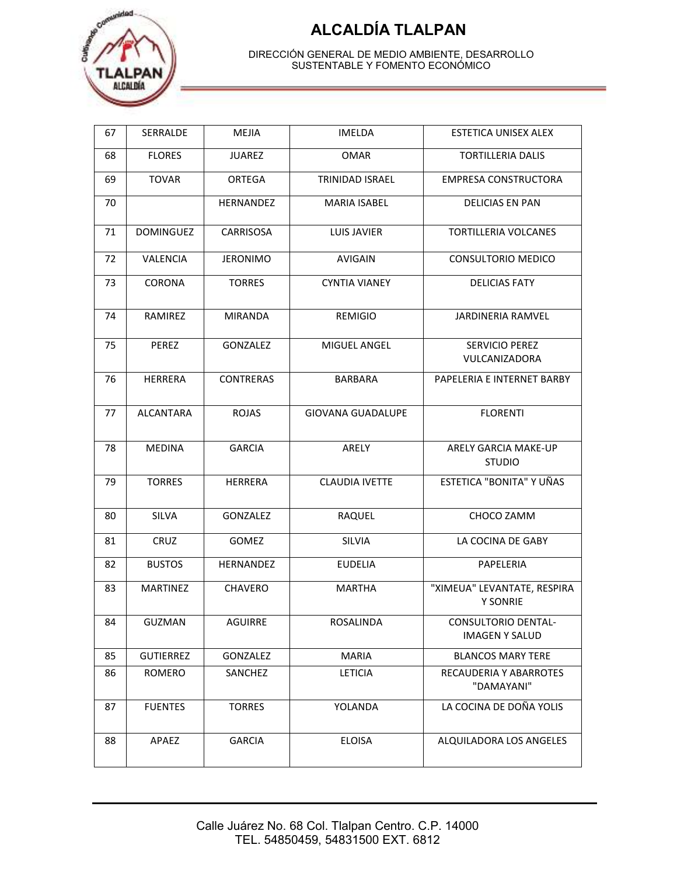

| 67 | SERRALDE         | MEJIA            | <b>IMELDA</b>            | ESTETICA UNISEX ALEX                           |
|----|------------------|------------------|--------------------------|------------------------------------------------|
| 68 | <b>FLORES</b>    | <b>JUAREZ</b>    | <b>OMAR</b>              | <b>TORTILLERIA DALIS</b>                       |
| 69 | <b>TOVAR</b>     | ORTEGA           | <b>TRINIDAD ISRAEL</b>   | <b>EMPRESA CONSTRUCTORA</b>                    |
| 70 |                  | HERNANDEZ        | <b>MARIA ISABEL</b>      | DELICIAS EN PAN                                |
| 71 | <b>DOMINGUEZ</b> | <b>CARRISOSA</b> | <b>LUIS JAVIER</b>       | <b>TORTILLERIA VOLCANES</b>                    |
| 72 | VALENCIA         | <b>JERONIMO</b>  | <b>AVIGAIN</b>           | CONSULTORIO MEDICO                             |
| 73 | CORONA           | <b>TORRES</b>    | <b>CYNTIA VIANEY</b>     | <b>DELICIAS FATY</b>                           |
| 74 | RAMIREZ          | <b>MIRANDA</b>   | <b>REMIGIO</b>           | <b>JARDINERIA RAMVEL</b>                       |
| 75 | PEREZ            | GONZALEZ         | MIGUEL ANGEL             | <b>SERVICIO PEREZ</b><br>VULCANIZADORA         |
| 76 | <b>HERRERA</b>   | <b>CONTRERAS</b> | <b>BARBARA</b>           | PAPELERIA E INTERNET BARBY                     |
| 77 | <b>ALCANTARA</b> | <b>ROJAS</b>     | <b>GIOVANA GUADALUPE</b> | <b>FLORENTI</b>                                |
| 78 | <b>MEDINA</b>    | <b>GARCIA</b>    | ARELY                    | ARELY GARCIA MAKE-UP<br><b>STUDIO</b>          |
| 79 | <b>TORRES</b>    | <b>HERRERA</b>   | <b>CLAUDIA IVETTE</b>    | ESTETICA "BONITA" Y UÑAS                       |
| 80 | <b>SILVA</b>     | <b>GONZALEZ</b>  | RAQUEL                   | CHOCO ZAMM                                     |
| 81 | CRUZ             | GOMEZ            | SILVIA                   | LA COCINA DE GABY                              |
| 82 | <b>BUSTOS</b>    | HERNANDEZ        | <b>EUDELIA</b>           | PAPELERIA                                      |
| 83 | <b>MARTINEZ</b>  | <b>CHAVERO</b>   | <b>MARTHA</b>            | "XIMEUA" LEVANTATE, RESPIRA<br><b>Y SONRIE</b> |
| 84 | GUZMAN           | AGUIRRE          | ROSALINDA                | CONSULTORIO DENTAL-<br><b>IMAGEN Y SALUD</b>   |
| 85 | <b>GUTIERREZ</b> | GONZALEZ         | <b>MARIA</b>             | <b>BLANCOS MARY TERE</b>                       |
| 86 | <b>ROMERO</b>    | SANCHEZ          | <b>LETICIA</b>           | RECAUDERIA Y ABARROTES<br>"DAMAYANI"           |
| 87 | <b>FUENTES</b>   | <b>TORRES</b>    | YOLANDA                  | LA COCINA DE DOÑA YOLIS                        |
| 88 | APAEZ            | <b>GARCIA</b>    | <b>ELOISA</b>            | ALQUILADORA LOS ANGELES                        |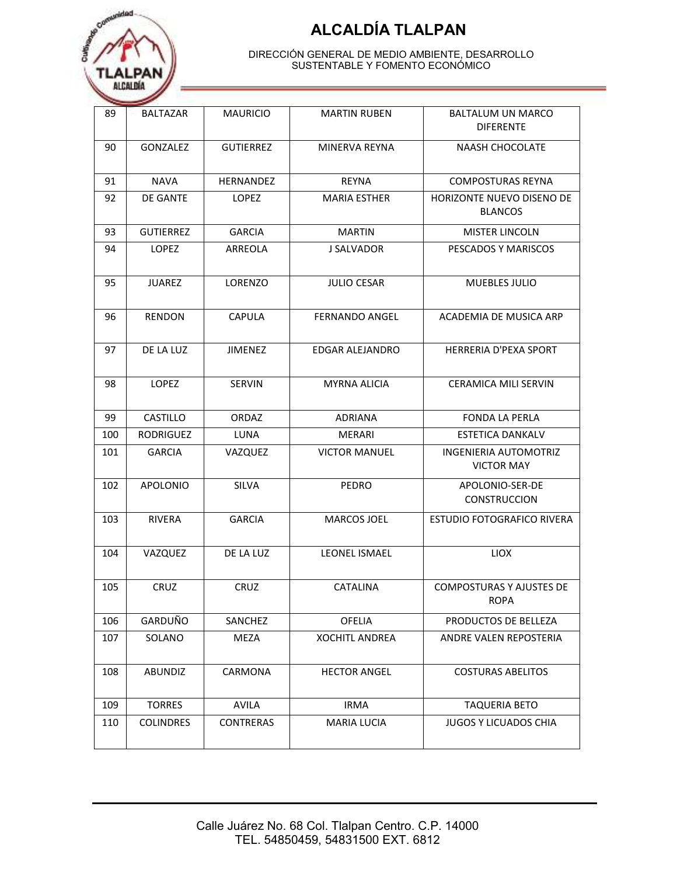

| 89  | <b>BALTAZAR</b>  | <b>MAURICIO</b>  | <b>MARTIN RUBEN</b>   | BALTALUM UN MARCO<br>DIFERENTE                    |
|-----|------------------|------------------|-----------------------|---------------------------------------------------|
| 90  | GONZALEZ         | <b>GUTIERREZ</b> | MINERVA REYNA         | <b>NAASH CHOCOLATE</b>                            |
| 91  | <b>NAVA</b>      | HERNANDEZ        | <b>REYNA</b>          | <b>COMPOSTURAS REYNA</b>                          |
| 92  | DE GANTE         | <b>LOPEZ</b>     | <b>MARIA ESTHER</b>   | HORIZONTE NUEVO DISENO DE<br><b>BLANCOS</b>       |
| 93  | <b>GUTIERREZ</b> | <b>GARCIA</b>    | <b>MARTIN</b>         | <b>MISTER LINCOLN</b>                             |
| 94  | <b>LOPEZ</b>     | ARREOLA          | J SALVADOR            | PESCADOS Y MARISCOS                               |
| 95  | <b>JUAREZ</b>    | LORENZO          | <b>JULIO CESAR</b>    | MUEBLES JULIO                                     |
| 96  | <b>RENDON</b>    | <b>CAPULA</b>    | <b>FERNANDO ANGEL</b> | ACADEMIA DE MUSICA ARP                            |
| 97  | DE LA LUZ        | <b>JIMENEZ</b>   | EDGAR ALEJANDRO       | <b>HERRERIA D'PEXA SPORT</b>                      |
| 98  | LOPEZ            | <b>SERVIN</b>    | <b>MYRNA ALICIA</b>   | <b>CERAMICA MILI SERVIN</b>                       |
| 99  | CASTILLO         | ORDAZ            | ADRIANA               | <b>FONDA LA PERLA</b>                             |
| 100 | RODRIGUEZ        | LUNA             | MERARI                | <b>ESTETICA DANKALV</b>                           |
| 101 | <b>GARCIA</b>    | VAZQUEZ          | <b>VICTOR MANUEL</b>  | <b>INGENIERIA AUTOMOTRIZ</b><br><b>VICTOR MAY</b> |
| 102 | <b>APOLONIO</b>  | <b>SILVA</b>     | <b>PEDRO</b>          | APOLONIO-SER-DE<br><b>CONSTRUCCION</b>            |
| 103 | <b>RIVERA</b>    | <b>GARCIA</b>    | MARCOS JOEL           | <b>ESTUDIO FOTOGRAFICO RIVERA</b>                 |
| 104 | VAZQUEZ          | DE LA LUZ        | <b>LEONEL ISMAEL</b>  | <b>LIOX</b>                                       |
| 105 | CRUZ             | CRUZ             | <b>CATALINA</b>       | <b>COMPOSTURAS Y AJUSTES DE</b><br><b>ROPA</b>    |
| 106 | GARDUÑO          | SANCHEZ          | OFELIA                | PRODUCTOS DE BELLEZA                              |
| 107 | SOLANO           | MEZA             | <b>XOCHITL ANDREA</b> | ANDRE VALEN REPOSTERIA                            |
| 108 | <b>ABUNDIZ</b>   | CARMONA          | <b>HECTOR ANGEL</b>   | <b>COSTURAS ABELITOS</b>                          |
| 109 | <b>TORRES</b>    | <b>AVILA</b>     | IRMA                  | <b>TAQUERIA BETO</b>                              |
| 110 | <b>COLINDRES</b> | <b>CONTRERAS</b> | MARIA LUCIA           | <b>JUGOS Y LICUADOS CHIA</b>                      |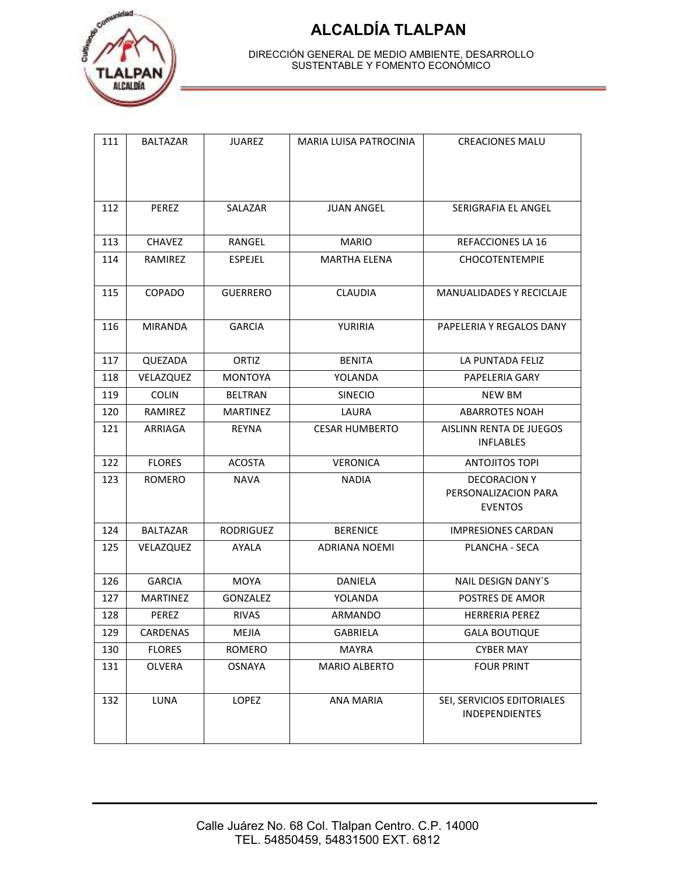

| 111 | <b>BALTAZAR</b> | <b>JUAREZ</b>   | <b>MARIA LUISA PATROCINIA</b> | <b>CREACIONES MALU</b>                                        |
|-----|-----------------|-----------------|-------------------------------|---------------------------------------------------------------|
|     |                 |                 |                               |                                                               |
|     |                 |                 |                               |                                                               |
| 112 | PEREZ           | SALAZAR         | <b>JUAN ANGEL</b>             | SERIGRAFIA EL ANGEL                                           |
|     |                 |                 |                               |                                                               |
| 113 | <b>CHAVEZ</b>   | RANGEL          | <b>MARIO</b>                  | REFACCIONES LA 16                                             |
| 114 | RAMIREZ         | <b>ESPEJEL</b>  | <b>MARTHA ELENA</b>           | <b>CHOCOTENTEMPIE</b>                                         |
| 115 | COPADO          | <b>GUERRERO</b> | CLAUDIA                       | MANUALIDADES Y RECICLAJE                                      |
| 116 | <b>MIRANDA</b>  | <b>GARCIA</b>   | YURIRIA                       | PAPELERIA Y REGALOS DANY                                      |
| 117 | QUEZADA         | ORTIZ           | <b>BENITA</b>                 | LA PUNTADA FELIZ                                              |
| 118 | VELAZQUEZ       | <b>MONTOYA</b>  | YOLANDA                       | PAPELERIA GARY                                                |
| 119 | <b>COLIN</b>    | <b>BELTRAN</b>  | <b>SINECIO</b>                | <b>NEW BM</b>                                                 |
| 120 | RAMIREZ         | <b>MARTINEZ</b> | LAURA                         | <b>ABARROTES NOAH</b>                                         |
| 121 | ARRIAGA         | <b>REYNA</b>    | <b>CESAR HUMBERTO</b>         | AISLINN RENTA DE JUEGOS<br><b>INFLABLES</b>                   |
| 122 | <b>FLORES</b>   | <b>ACOSTA</b>   | <b>VERONICA</b>               | <b>ANTOJITOS TOPI</b>                                         |
| 123 | <b>ROMERO</b>   | <b>NAVA</b>     | <b>NADIA</b>                  | <b>DECORACION Y</b><br>PERSONALIZACION PARA<br><b>EVENTOS</b> |
| 124 | <b>BALTAZAR</b> | RODRIGUEZ       | <b>BERENICE</b>               | <b>IMPRESIONES CARDAN</b>                                     |
| 125 | VELAZQUEZ       | <b>AYALA</b>    | <b>ADRIANA NOEMI</b>          | PLANCHA - SECA                                                |
| 126 | <b>GARCIA</b>   | MOYA            | DANIELA                       | NAIL DESIGN DANY'S                                            |
| 127 | <b>MARTINEZ</b> | GONZALEZ        | YOLANDA                       | POSTRES DE AMOR                                               |
| 128 | PEREZ           | <b>RIVAS</b>    | ARMANDO                       | <b>HERRERIA PEREZ</b>                                         |
| 129 | CARDENAS        | MEJIA           | GABRIELA                      | <b>GALA BOUTIQUE</b>                                          |
| 130 | <b>FLORES</b>   | ROMERO          | <b>MAYRA</b>                  | <b>CYBER MAY</b>                                              |
| 131 | OLVERA          | <b>OSNAYA</b>   | <b>MARIO ALBERTO</b>          | <b>FOUR PRINT</b>                                             |
| 132 | LUNA            | LOPEZ           | ANA MARIA                     | SEI, SERVICIOS EDITORIALES<br><b>INDEPENDIENTES</b>           |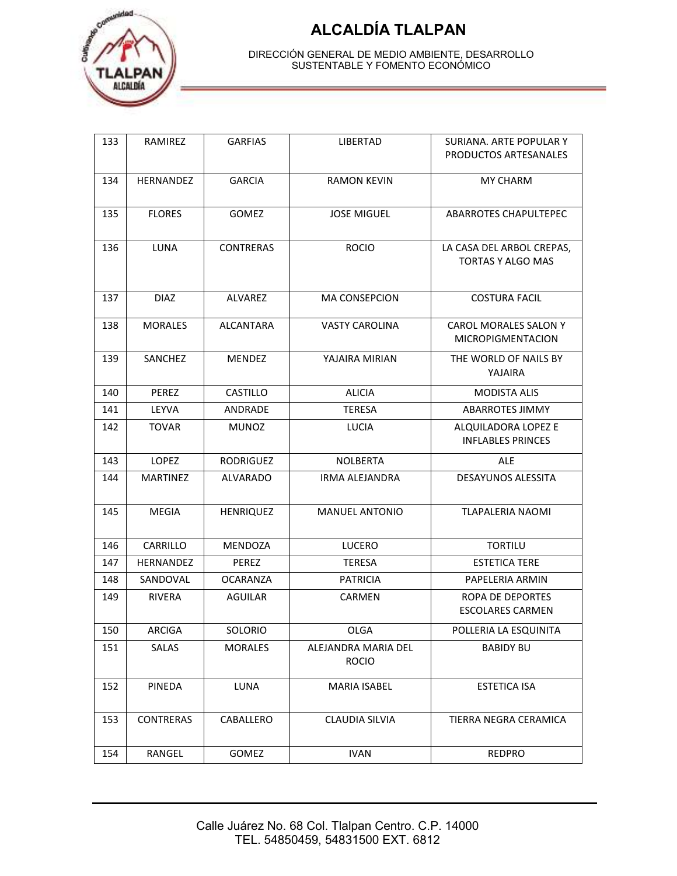

| 133 | RAMIREZ          | <b>GARFIAS</b>   | <b>LIBERTAD</b>                     | SURIANA, ARTE POPULAR Y                     |
|-----|------------------|------------------|-------------------------------------|---------------------------------------------|
|     |                  |                  |                                     | PRODUCTOS ARTESANALES                       |
| 134 | HERNANDEZ        | <b>GARCIA</b>    | <b>RAMON KEVIN</b>                  | <b>MY CHARM</b>                             |
|     |                  |                  |                                     |                                             |
| 135 | <b>FLORES</b>    | <b>GOMEZ</b>     | <b>JOSE MIGUEL</b>                  | <b>ABARROTES CHAPULTEPEC</b>                |
|     |                  |                  |                                     |                                             |
| 136 | <b>LUNA</b>      | <b>CONTRERAS</b> | <b>ROCIO</b>                        | LA CASA DEL ARBOL CREPAS,                   |
|     |                  |                  |                                     | <b>TORTAS Y ALGO MAS</b>                    |
|     |                  |                  |                                     |                                             |
| 137 | <b>DIAZ</b>      | <b>ALVAREZ</b>   | <b>MA CONSEPCION</b>                | <b>COSTURA FACIL</b>                        |
| 138 | <b>MORALES</b>   | ALCANTARA        | <b>VASTY CAROLINA</b>               | CAROL MORALES SALON Y                       |
|     |                  |                  |                                     | <b>MICROPIGMENTACION</b>                    |
| 139 | SANCHEZ          | <b>MENDEZ</b>    | YAJAIRA MIRIAN                      | THE WORLD OF NAILS BY                       |
|     |                  |                  |                                     | YAJAIRA                                     |
| 140 | PEREZ            | CASTILLO         | <b>ALICIA</b>                       | <b>MODISTA ALIS</b>                         |
| 141 | LEYVA            | ANDRADE          | <b>TERESA</b>                       | <b>ABARROTES JIMMY</b>                      |
| 142 | <b>TOVAR</b>     | <b>MUNOZ</b>     | <b>LUCIA</b>                        | ALQUILADORA LOPEZ E                         |
|     |                  |                  |                                     | <b>INFLABLES PRINCES</b>                    |
| 143 | <b>LOPEZ</b>     | <b>RODRIGUEZ</b> | <b>NOLBERTA</b>                     | <b>ALE</b>                                  |
| 144 | <b>MARTINEZ</b>  | ALVARADO         | IRMA ALEJANDRA                      | <b>DESAYUNOS ALESSITA</b>                   |
|     |                  |                  |                                     |                                             |
| 145 | <b>MEGIA</b>     | <b>HENRIQUEZ</b> | <b>MANUEL ANTONIO</b>               | <b>TLAPALERIA NAOMI</b>                     |
|     |                  |                  |                                     |                                             |
| 146 | CARRILLO         | MENDOZA          | LUCERO                              | <b>TORTILU</b>                              |
| 147 | HERNANDEZ        | <b>PEREZ</b>     | <b>TERESA</b>                       | <b>ESTETICA TERE</b>                        |
| 148 | SANDOVAL         | <b>OCARANZA</b>  | <b>PATRICIA</b>                     | PAPELERIA ARMIN                             |
| 149 | <b>RIVERA</b>    | <b>AGUILAR</b>   | <b>CARMEN</b>                       | ROPA DE DEPORTES<br><b>ESCOLARES CARMEN</b> |
|     |                  |                  |                                     |                                             |
| 150 | ARCIGA           | SOLORIO          | OLGA                                | POLLERIA LA ESQUINITA                       |
| 151 | SALAS            | MORALES          | ALEJANDRA MARIA DEL<br><b>ROCIO</b> | <b>BABIDY BU</b>                            |
|     |                  |                  |                                     |                                             |
| 152 | PINEDA           | LUNA             | MARIA ISABEL                        | ESTETICA ISA                                |
|     |                  |                  |                                     |                                             |
| 153 | <b>CONTRERAS</b> | CABALLERO        | CLAUDIA SILVIA                      | TIERRA NEGRA CERAMICA                       |
|     |                  |                  |                                     |                                             |
| 154 | RANGEL           | <b>GOMEZ</b>     | <b>IVAN</b>                         | <b>REDPRO</b>                               |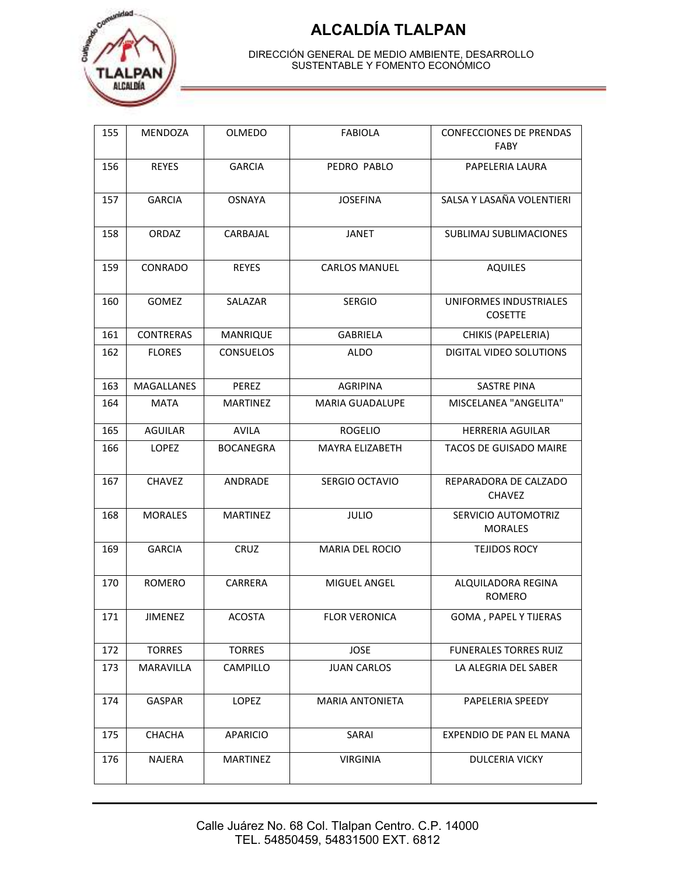

| 155 | MENDOZA          | OLMEDO           | <b>FABIOLA</b>         | <b>CONFECCIONES DE PRENDAS</b><br><b>FABY</b> |
|-----|------------------|------------------|------------------------|-----------------------------------------------|
| 156 | <b>REYES</b>     | <b>GARCIA</b>    | PEDRO PABLO            | PAPELERIA LAURA                               |
| 157 | <b>GARCIA</b>    | <b>OSNAYA</b>    | <b>JOSEFINA</b>        | SALSA Y LASAÑA VOLENTIERI                     |
| 158 | ORDAZ            | CARBAJAL         | <b>JANET</b>           | SUBLIMAJ SUBLIMACIONES                        |
| 159 | CONRADO          | <b>REYES</b>     | <b>CARLOS MANUEL</b>   | <b>AQUILES</b>                                |
| 160 | GOMEZ            | SALAZAR          | <b>SERGIO</b>          | UNIFORMES INDUSTRIALES<br><b>COSETTE</b>      |
| 161 | <b>CONTRERAS</b> | MANRIQUE         | <b>GABRIELA</b>        | CHIKIS (PAPELERIA)                            |
| 162 | <b>FLORES</b>    | <b>CONSUELOS</b> | ALDO                   | DIGITAL VIDEO SOLUTIONS                       |
| 163 | MAGALLANES       | PEREZ            | <b>AGRIPINA</b>        | <b>SASTRE PINA</b>                            |
| 164 | <b>MATA</b>      | <b>MARTINEZ</b>  | <b>MARIA GUADALUPE</b> | MISCELANEA "ANGELITA"                         |
| 165 | <b>AGUILAR</b>   | <b>AVILA</b>     | <b>ROGELIO</b>         | <b>HERRERIA AGUILAR</b>                       |
| 166 | <b>LOPEZ</b>     | <b>BOCANEGRA</b> | MAYRA ELIZABETH        | <b>TACOS DE GUISADO MAIRE</b>                 |
| 167 | <b>CHAVEZ</b>    | ANDRADE          | SERGIO OCTAVIO         | REPARADORA DE CALZADO<br><b>CHAVEZ</b>        |
| 168 | <b>MORALES</b>   | <b>MARTINEZ</b>  | <b>JULIO</b>           | SERVICIO AUTOMOTRIZ<br><b>MORALES</b>         |
| 169 | <b>GARCIA</b>    | <b>CRUZ</b>      | <b>MARIA DEL ROCIO</b> | <b>TEJIDOS ROCY</b>                           |
| 170 | <b>ROMERO</b>    | CARRERA          | MIGUEL ANGEL           | ALQUILADORA REGINA<br><b>ROMERO</b>           |
| 171 | <b>JIMENEZ</b>   | <b>ACOSTA</b>    | <b>FLOR VERONICA</b>   | <b>GOMA, PAPEL Y TIJERAS</b>                  |
| 172 | <b>TORRES</b>    | <b>TORRES</b>    | <b>JOSE</b>            | FUNERALES TORRES RUIZ                         |
| 173 | MARAVILLA        | CAMPILLO         | <b>JUAN CARLOS</b>     | LA ALEGRIA DEL SABER                          |
| 174 | GASPAR           | LOPEZ            | MARIA ANTONIETA        | PAPELERIA SPEEDY                              |
| 175 | CHACHA           | APARICIO         | SARAI                  | EXPENDIO DE PAN EL MANA                       |
| 176 | NAJERA           | <b>MARTINEZ</b>  | <b>VIRGINIA</b>        | <b>DULCERIA VICKY</b>                         |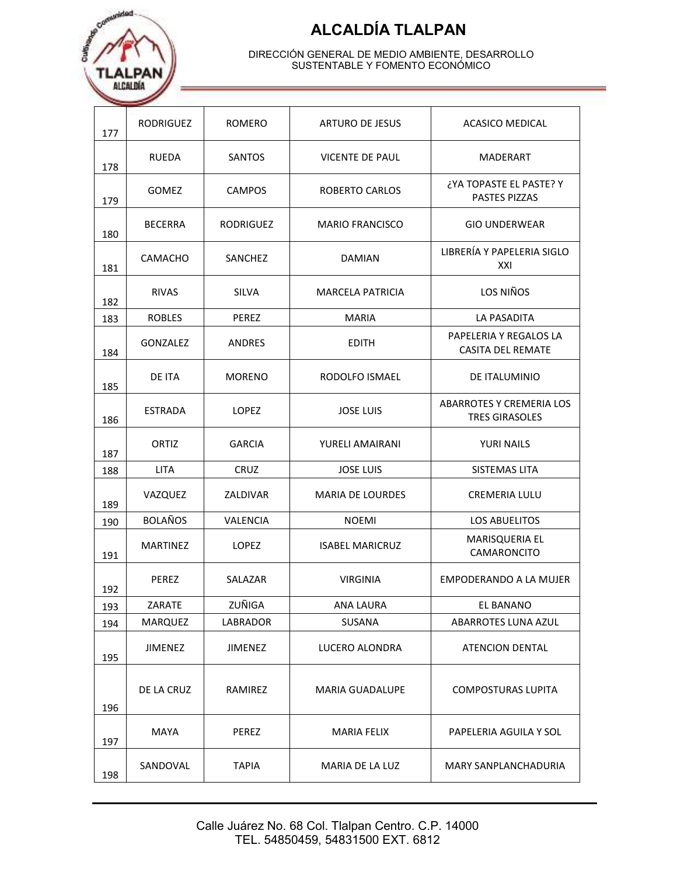

| 177 | <b>RODRIGUEZ</b> | ROMERO           | ARTURO DE JESUS         | ACASICO MEDICAL                                          |
|-----|------------------|------------------|-------------------------|----------------------------------------------------------|
| 178 | <b>RUEDA</b>     | <b>SANTOS</b>    | <b>VICENTE DE PAUL</b>  | <b>MADERART</b>                                          |
| 179 | <b>GOMEZ</b>     | <b>CAMPOS</b>    | <b>ROBERTO CARLOS</b>   | ¿YA TOPASTE EL PASTE? Y<br>PASTES PIZZAS                 |
| 180 | <b>BECERRA</b>   | <b>RODRIGUEZ</b> | <b>MARIO FRANCISCO</b>  | <b>GIO UNDERWEAR</b>                                     |
| 181 | CAMACHO          | SANCHEZ          | <b>DAMIAN</b>           | LIBRERÍA Y PAPELERIA SIGLO<br>XXI                        |
| 182 | <b>RIVAS</b>     | <b>SILVA</b>     | <b>MARCELA PATRICIA</b> | LOS NIÑOS                                                |
| 183 | <b>ROBLES</b>    | PEREZ            | <b>MARIA</b>            | <b>LA PASADITA</b>                                       |
| 184 | <b>GONZALEZ</b>  | <b>ANDRES</b>    | <b>EDITH</b>            | PAPELERIA Y REGALOS LA<br><b>CASITA DEL REMATE</b>       |
| 185 | DE ITA           | <b>MORENO</b>    | RODOLFO ISMAEL          | <b>DE ITALUMINIO</b>                                     |
| 186 | <b>ESTRADA</b>   | <b>LOPEZ</b>     | <b>JOSE LUIS</b>        | <b>ABARROTES Y CREMERIA LOS</b><br><b>TRES GIRASOLES</b> |
| 187 | ORTIZ            | <b>GARCIA</b>    | YURELI AMAIRANI         | <b>YURI NAILS</b>                                        |
| 188 | <b>LITA</b>      | <b>CRUZ</b>      | <b>JOSE LUIS</b>        | SISTEMAS LITA                                            |
| 189 | VAZQUEZ          | ZALDIVAR         | <b>MARIA DE LOURDES</b> | <b>CREMERIA LULU</b>                                     |
| 190 | <b>BOLAÑOS</b>   | VALENCIA         | <b>NOEMI</b>            | LOS ABUELITOS                                            |
| 191 | <b>MARTINEZ</b>  | <b>LOPEZ</b>     | <b>ISABEL MARICRUZ</b>  | MARISQUERIA EL<br>CAMARONCITO                            |
| 192 | <b>PEREZ</b>     | SALAZAR          | <b>VIRGINIA</b>         | EMPODERANDO A LA MUJER                                   |
| 193 | ZARATE           | ZUÑIGA           | ANA LAURA               | EL BANANO                                                |
| 194 | MARQUEZ          | LABRADOR         | SUSANA                  | ABARROTES LUNA AZUL                                      |
| 195 | <b>JIMENEZ</b>   | <b>JIMENEZ</b>   | LUCERO ALONDRA          | <b>ATENCION DENTAL</b>                                   |
| 196 | DE LA CRUZ       | RAMIREZ          | <b>MARIA GUADALUPE</b>  | <b>COMPOSTURAS LUPITA</b>                                |
| 197 | <b>MAYA</b>      | PEREZ            | <b>MARIA FELIX</b>      | PAPELERIA AGUILA Y SOL                                   |
| 198 | SANDOVAL         | <b>TAPIA</b>     | MARIA DE LA LUZ         | MARY SANPLANCHADURIA                                     |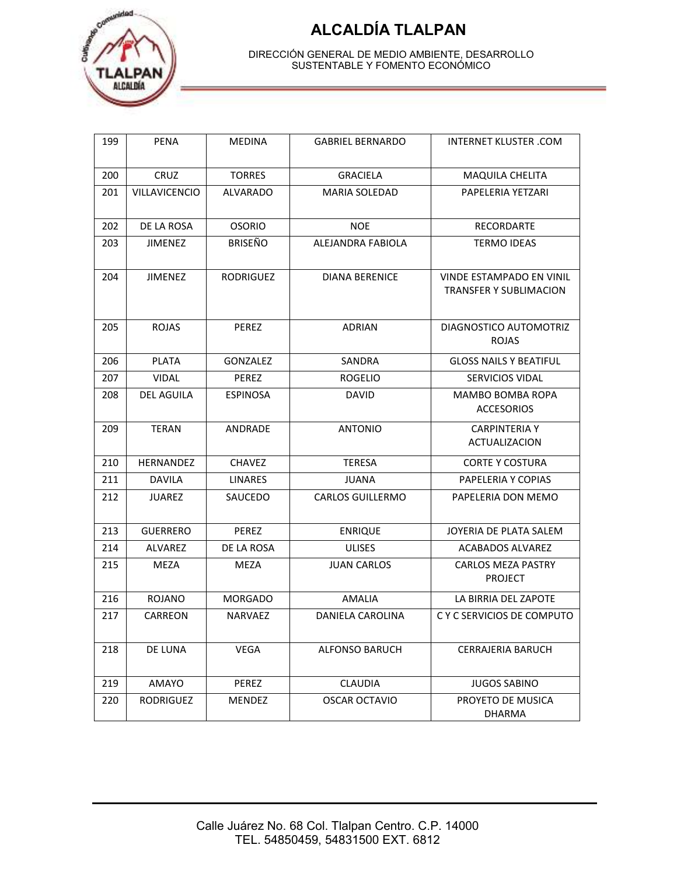

| 199 | <b>PENA</b>     | <b>MEDINA</b>    | <b>GABRIEL BERNARDO</b> | <b>INTERNET KLUSTER .COM</b>                                     |
|-----|-----------------|------------------|-------------------------|------------------------------------------------------------------|
| 200 | <b>CRUZ</b>     | <b>TORRES</b>    | <b>GRACIELA</b>         | <b>MAQUILA CHELITA</b>                                           |
| 201 | VILLAVICENCIO   | <b>ALVARADO</b>  | <b>MARIA SOLEDAD</b>    | PAPELERIA YETZARI                                                |
| 202 | DE LA ROSA      | <b>OSORIO</b>    | <b>NOE</b>              | RECORDARTE                                                       |
| 203 | <b>JIMENEZ</b>  | <b>BRISEÑO</b>   | ALEJANDRA FABIOLA       | <b>TERMO IDEAS</b>                                               |
| 204 | <b>JIMENEZ</b>  | <b>RODRIGUEZ</b> | <b>DIANA BERENICE</b>   | <b>VINDE ESTAMPADO EN VINIL</b><br><b>TRANSFER Y SUBLIMACION</b> |
| 205 | <b>ROJAS</b>    | <b>PEREZ</b>     | <b>ADRIAN</b>           | DIAGNOSTICO AUTOMOTRIZ<br><b>ROJAS</b>                           |
| 206 | <b>PLATA</b>    | <b>GONZALEZ</b>  | SANDRA                  | <b>GLOSS NAILS Y BEATIFUL</b>                                    |
| 207 | <b>VIDAL</b>    | <b>PEREZ</b>     | <b>ROGELIO</b>          | <b>SERVICIOS VIDAL</b>                                           |
| 208 | DEL AGUILA      | <b>ESPINOSA</b>  | <b>DAVID</b>            | <b>MAMBO BOMBA ROPA</b><br><b>ACCESORIOS</b>                     |
| 209 | <b>TERAN</b>    | ANDRADE          | <b>ANTONIO</b>          | <b>CARPINTERIA Y</b><br><b>ACTUALIZACION</b>                     |
| 210 | HERNANDEZ       | <b>CHAVEZ</b>    | <b>TERESA</b>           | <b>CORTE Y COSTURA</b>                                           |
| 211 | DAVILA          | LINARES          | JUANA                   | PAPELERIA Y COPIAS                                               |
| 212 | <b>JUAREZ</b>   | SAUCEDO          | <b>CARLOS GUILLERMO</b> | PAPELERIA DON MEMO                                               |
| 213 | <b>GUERRERO</b> | PEREZ            | <b>ENRIQUE</b>          | JOYERIA DE PLATA SALEM                                           |
| 214 | ALVAREZ         | DE LA ROSA       | <b>ULISES</b>           | ACABADOS ALVAREZ                                                 |
| 215 | MEZA            | MEZA             | <b>JUAN CARLOS</b>      | <b>CARLOS MEZA PASTRY</b><br><b>PROJECT</b>                      |
| 216 | <b>ROJANO</b>   | <b>MORGADO</b>   | <b>AMALIA</b>           | LA BIRRIA DEL ZAPOTE                                             |
| 217 | CARREON         | <b>NARVAEZ</b>   | DANIELA CAROLINA        | C Y C SERVICIOS DE COMPUTO                                       |
| 218 | DE LUNA         | <b>VEGA</b>      | <b>ALFONSO BARUCH</b>   | <b>CERRAJERIA BARUCH</b>                                         |
| 219 | AMAYO           | PEREZ            | CLAUDIA                 | <b>JUGOS SABINO</b>                                              |
| 220 | RODRIGUEZ       | MENDEZ           | <b>OSCAR OCTAVIO</b>    | PROYETO DE MUSICA<br>DHARMA                                      |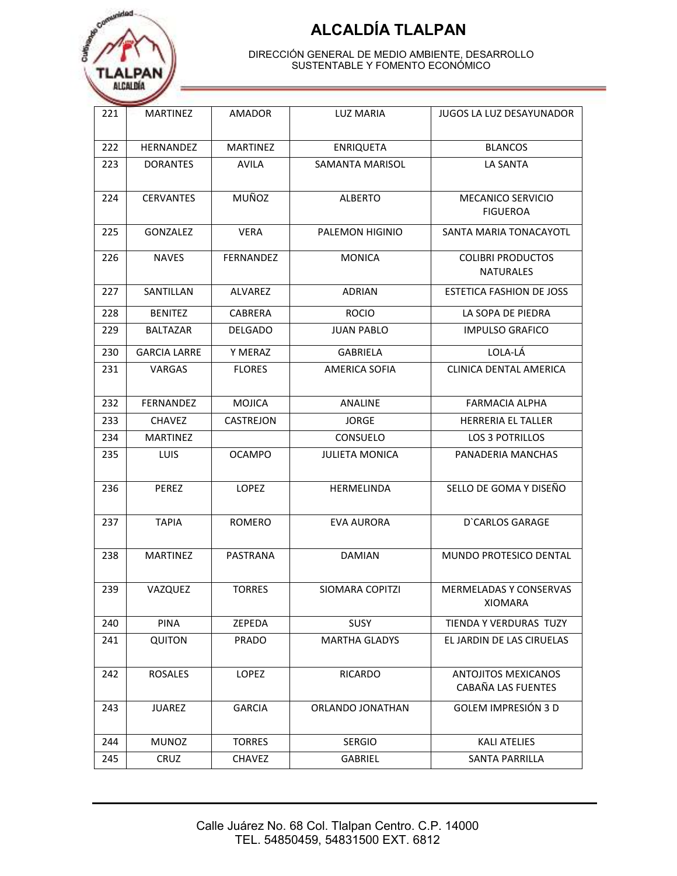

| 221 | <b>MARTINEZ</b>     | AMADOR          | LUZ MARIA              | JUGOS LA LUZ DESAYUNADOR                         |
|-----|---------------------|-----------------|------------------------|--------------------------------------------------|
| 222 | HERNANDEZ           | <b>MARTINEZ</b> | <b>ENRIQUETA</b>       | <b>BLANCOS</b>                                   |
| 223 | <b>DORANTES</b>     | <b>AVILA</b>    | <b>SAMANTA MARISOL</b> | <b>LA SANTA</b>                                  |
| 224 | <b>CERVANTES</b>    | MUÑOZ           | <b>ALBERTO</b>         | MECANICO SERVICIO<br><b>FIGUEROA</b>             |
| 225 | GONZALEZ            | <b>VERA</b>     | PALEMON HIGINIO        | SANTA MARIA TONACAYOTL                           |
| 226 | <b>NAVES</b>        | FERNANDEZ       | <b>MONICA</b>          | <b>COLIBRI PRODUCTOS</b><br>NATURALES            |
| 227 | SANTILLAN           | ALVAREZ         | <b>ADRIAN</b>          | <b>ESTETICA FASHION DE JOSS</b>                  |
| 228 | <b>BENITEZ</b>      | CABRERA         | <b>ROCIO</b>           | LA SOPA DE PIEDRA                                |
| 229 | <b>BALTAZAR</b>     | DELGADO         | <b>JUAN PABLO</b>      | <b>IMPULSO GRAFICO</b>                           |
| 230 | <b>GARCIA LARRE</b> | Y MERAZ         | <b>GABRIELA</b>        | LOLA-LÁ                                          |
| 231 | <b>VARGAS</b>       | <b>FLORES</b>   | <b>AMERICA SOFIA</b>   | CLINICA DENTAL AMERICA                           |
| 232 | FERNANDEZ           | <b>MOJICA</b>   | <b>ANALINE</b>         | <b>FARMACIA ALPHA</b>                            |
| 233 | CHAVEZ              | CASTREJON       | <b>JORGE</b>           | <b>HERRERIA EL TALLER</b>                        |
| 234 | <b>MARTINEZ</b>     |                 | CONSUELO               | LOS 3 POTRILLOS                                  |
| 235 | LUIS                | <b>OCAMPO</b>   | <b>JULIETA MONICA</b>  | PANADERIA MANCHAS                                |
| 236 | PEREZ               | LOPEZ           | HERMELINDA             | SELLO DE GOMA Y DISEÑO                           |
| 237 | <b>TAPIA</b>        | ROMERO          | <b>EVA AURORA</b>      | D'CARLOS GARAGE                                  |
| 238 | <b>MARTINEZ</b>     | PASTRANA        | <b>DAMIAN</b>          | MUNDO PROTESICO DENTAL                           |
| 239 | VAZQUEZ             | <b>TORRES</b>   | SIOMARA COPITZI        | <b>MERMELADAS Y CONSERVAS</b><br>XIOMARA         |
| 240 | <b>PINA</b>         | ZEPEDA          | <b>SUSY</b>            | TIENDA Y VERDURAS TUZY                           |
| 241 | <b>QUITON</b>       | <b>PRADO</b>    | <b>MARTHA GLADYS</b>   | EL JARDIN DE LAS CIRUELAS                        |
| 242 | <b>ROSALES</b>      | LOPEZ           | <b>RICARDO</b>         | <b>ANTOJITOS MEXICANOS</b><br>CABAÑA LAS FUENTES |
| 243 | <b>JUAREZ</b>       | <b>GARCIA</b>   | ORLANDO JONATHAN       | <b>GOLEM IMPRESIÓN 3 D</b>                       |
| 244 | <b>MUNOZ</b>        | <b>TORRES</b>   | <b>SERGIO</b>          | <b>KALI ATELIES</b>                              |
| 245 | <b>CRUZ</b>         | <b>CHAVEZ</b>   | GABRIEL                | SANTA PARRILLA                                   |
|     |                     |                 |                        |                                                  |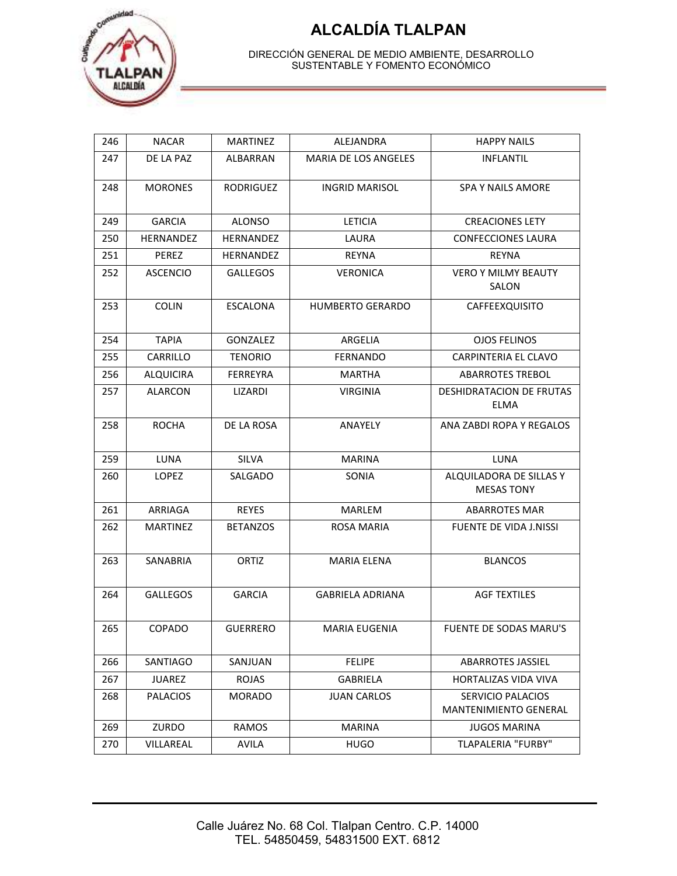



| 246 | <b>NACAR</b>     | <b>MARTINEZ</b>  | ALEJANDRA                   | <b>HAPPY NAILS</b>                                |
|-----|------------------|------------------|-----------------------------|---------------------------------------------------|
| 247 | DE LA PAZ        | ALBARRAN         | <b>MARIA DE LOS ANGELES</b> | <b>INFLANTIL</b>                                  |
| 248 | <b>MORONES</b>   | <b>RODRIGUEZ</b> | <b>INGRID MARISOL</b>       | <b>SPA Y NAILS AMORE</b>                          |
| 249 | <b>GARCIA</b>    | <b>ALONSO</b>    | <b>LETICIA</b>              | <b>CREACIONES LETY</b>                            |
| 250 | <b>HERNANDEZ</b> | <b>HERNANDEZ</b> | LAURA                       | <b>CONFECCIONES LAURA</b>                         |
| 251 | PEREZ            | HERNANDEZ        | REYNA                       | REYNA                                             |
| 252 | <b>ASCENCIO</b>  | <b>GALLEGOS</b>  | <b>VERONICA</b>             | <b>VERO Y MILMY BEAUTY</b><br>SALON               |
| 253 | <b>COLIN</b>     | <b>ESCALONA</b>  | <b>HUMBERTO GERARDO</b>     | CAFFEEXQUISITO                                    |
| 254 | <b>TAPIA</b>     | GONZALEZ         | ARGELIA                     | <b>OJOS FELINOS</b>                               |
| 255 | CARRILLO         | <b>TENORIO</b>   | <b>FERNANDO</b>             | CARPINTERIA EL CLAVO                              |
| 256 | <b>ALQUICIRA</b> | <b>FERREYRA</b>  | <b>MARTHA</b>               | <b>ABARROTES TREBOL</b>                           |
| 257 | ALARCON          | LIZARDI          | <b>VIRGINIA</b>             | DESHIDRATACION DE FRUTAS<br>ELMA                  |
| 258 | <b>ROCHA</b>     | DE LA ROSA       | ANAYELY                     | ANA ZABDI ROPA Y REGALOS                          |
| 259 | LUNA             | <b>SILVA</b>     | <b>MARINA</b>               | LUNA                                              |
| 260 | LOPEZ            | SALGADO          | SONIA                       | ALQUILADORA DE SILLAS Y<br><b>MESAS TONY</b>      |
| 261 | ARRIAGA          | <b>REYES</b>     | <b>MARLEM</b>               | <b>ABARROTES MAR</b>                              |
| 262 | MARTINEZ         | <b>BETANZOS</b>  | ROSA MARIA                  | <b>FUENTE DE VIDA J.NISSI</b>                     |
| 263 | SANABRIA         | ORTIZ            | <b>MARIA ELENA</b>          | <b>BLANCOS</b>                                    |
| 264 | <b>GALLEGOS</b>  | <b>GARCIA</b>    | <b>GABRIELA ADRIANA</b>     | <b>AGF TEXTILES</b>                               |
| 265 | COPADO           | <b>GUERRERO</b>  | <b>MARIA EUGENIA</b>        | FUENTE DE SODAS MARU'S                            |
| 266 | SANTIAGO         | SANJUAN          | <b>FELIPE</b>               | <b>ABARROTES JASSIEL</b>                          |
| 267 | <b>JUAREZ</b>    | <b>ROJAS</b>     | GABRIELA                    | HORTALIZAS VIDA VIVA                              |
| 268 | <b>PALACIOS</b>  | <b>MORADO</b>    | <b>JUAN CARLOS</b>          | SERVICIO PALACIOS<br><b>MANTENIMIENTO GENERAL</b> |
| 269 | ZURDO            | <b>RAMOS</b>     | <b>MARINA</b>               | JUGOS MARINA                                      |
| 270 | VILLAREAL        | AVILA            | <b>HUGO</b>                 | <b>TLAPALERIA "FURBY"</b>                         |
|     |                  |                  |                             |                                                   |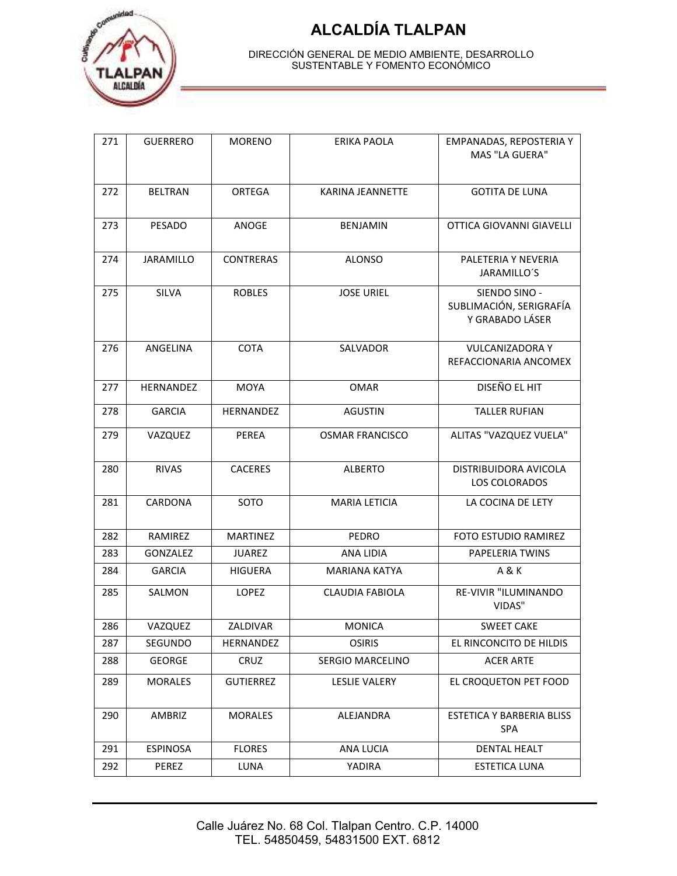

| EMPANADAS, REPOSTERIA Y<br>MAS "LA GUERA"                   |
|-------------------------------------------------------------|
| <b>GOTITA DE LUNA</b>                                       |
| OTTICA GIOVANNI GIAVELLI                                    |
| PALETERIA Y NEVERIA<br>JARAMILLO'S                          |
| SIENDO SINO -<br>SUBLIMACIÓN, SERIGRAFÍA<br>Y GRABADO LÁSER |
| <b>VULCANIZADORA Y</b><br>REFACCIONARIA ANCOMEX             |
| DISEÑO EL HIT                                               |
| <b>TALLER RUFIAN</b>                                        |
| ALITAS "VAZQUEZ VUELA"                                      |
| DISTRIBUIDORA AVICOLA<br><b>LOS COLORADOS</b>               |
| LA COCINA DE LETY                                           |
| FOTO ESTUDIO RAMIREZ                                        |
| PAPELERIA TWINS                                             |
|                                                             |
| RE-VIVIR "ILUMINANDO                                        |
|                                                             |
| EL RINCONCITO DE HILDIS                                     |
|                                                             |
| EL CROQUETON PET FOOD                                       |
| ESTETICA Y BARBERIA BLISS                                   |
|                                                             |
| DENTAL HEALT                                                |
| <b>SWEET CAKE</b>                                           |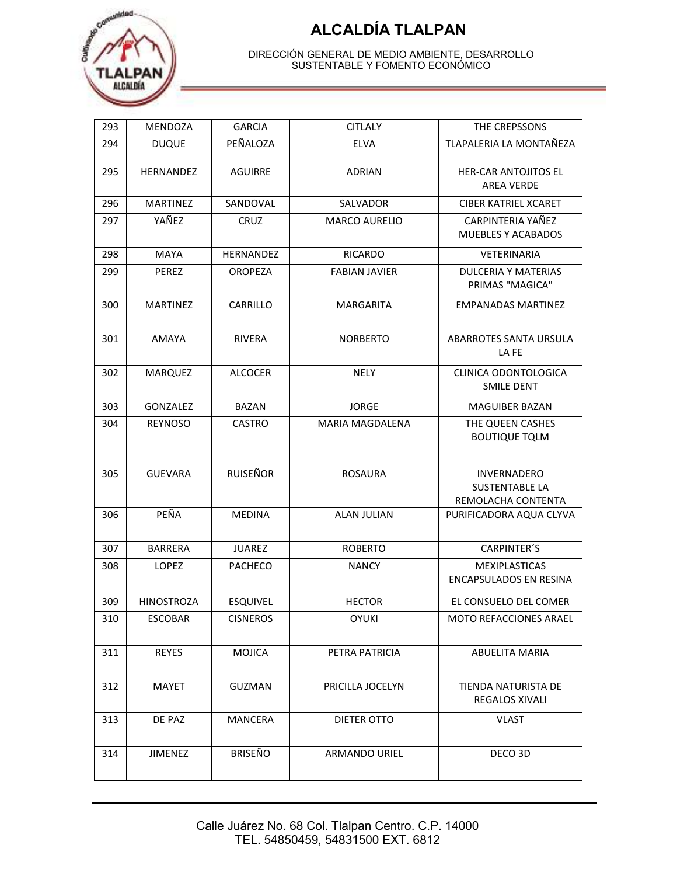

| 293 | MENDOZA           | <b>GARCIA</b>    | <b>CITLALY</b>         | THE CREPSSONS                                                     |  |
|-----|-------------------|------------------|------------------------|-------------------------------------------------------------------|--|
| 294 | <b>DUQUE</b>      | PEÑALOZA         | <b>ELVA</b>            | TLAPALERIA LA MONTAÑEZA                                           |  |
| 295 | HERNANDEZ         | <b>AGUIRRE</b>   | <b>ADRIAN</b>          | <b>HER-CAR ANTOJITOS EL</b><br><b>AREA VERDE</b>                  |  |
| 296 | <b>MARTINEZ</b>   | SANDOVAL         | SALVADOR               | <b>CIBER KATRIEL XCARET</b>                                       |  |
| 297 | YAÑEZ             | CRUZ             | <b>MARCO AURELIO</b>   | CARPINTERIA YAÑEZ<br>MUEBLES Y ACABADOS                           |  |
| 298 | <b>MAYA</b>       | <b>HERNANDEZ</b> | <b>RICARDO</b>         | VETERINARIA                                                       |  |
| 299 | <b>PEREZ</b>      | <b>OROPEZA</b>   | <b>FABIAN JAVIER</b>   | <b>DULCERIA Y MATERIAS</b><br>PRIMAS "MAGICA"                     |  |
| 300 | <b>MARTINEZ</b>   | CARRILLO         | MARGARITA              | <b>EMPANADAS MARTINEZ</b>                                         |  |
| 301 | <b>AMAYA</b>      | RIVERA           | <b>NORBERTO</b>        | ABARROTES SANTA URSULA<br>LA FE                                   |  |
| 302 | <b>MARQUEZ</b>    | <b>ALCOCER</b>   | <b>NELY</b>            | CLINICA ODONTOLOGICA<br>SMILE DENT                                |  |
| 303 | GONZALEZ          | <b>BAZAN</b>     | <b>JORGE</b>           | <b>MAGUIBER BAZAN</b>                                             |  |
| 304 | <b>REYNOSO</b>    | <b>CASTRO</b>    | <b>MARIA MAGDALENA</b> | THE QUEEN CASHES<br><b>BOUTIQUE TQLM</b>                          |  |
| 305 | <b>GUEVARA</b>    | <b>RUISEÑOR</b>  | <b>ROSAURA</b>         | <b>INVERNADERO</b><br><b>SUSTENTABLE LA</b><br>REMOLACHA CONTENTA |  |
| 306 | PEÑA              | <b>MEDINA</b>    | <b>ALAN JULIAN</b>     | PURIFICADORA AQUA CLYVA                                           |  |
| 307 | <b>BARRERA</b>    | <b>JUAREZ</b>    | <b>ROBERTO</b>         | <b>CARPINTER'S</b>                                                |  |
| 308 | <b>LOPEZ</b>      | <b>PACHECO</b>   | <b>NANCY</b>           | <b>MEXIPLASTICAS</b><br><b>ENCAPSULADOS EN RESINA</b>             |  |
| 309 | <b>HINOSTROZA</b> | <b>ESQUIVEL</b>  | <b>HECTOR</b>          | EL CONSUELO DEL COMER                                             |  |
| 310 | <b>ESCOBAR</b>    | <b>CISNEROS</b>  | <b>OYUKI</b>           | <b>MOTO REFACCIONES ARAEL</b>                                     |  |
| 311 | <b>REYES</b>      | <b>MOJICA</b>    | PETRA PATRICIA         | <b>ABUELITA MARIA</b>                                             |  |
| 312 | <b>MAYET</b>      | <b>GUZMAN</b>    | PRICILLA JOCELYN       | TIENDA NATURISTA DE<br>REGALOS XIVALI                             |  |
| 313 | DE PAZ            | <b>MANCERA</b>   | DIETER OTTO            | <b>VLAST</b>                                                      |  |
| 314 | <b>JIMENEZ</b>    | <b>BRISEÑO</b>   | <b>ARMANDO URIEL</b>   | DECO 3D                                                           |  |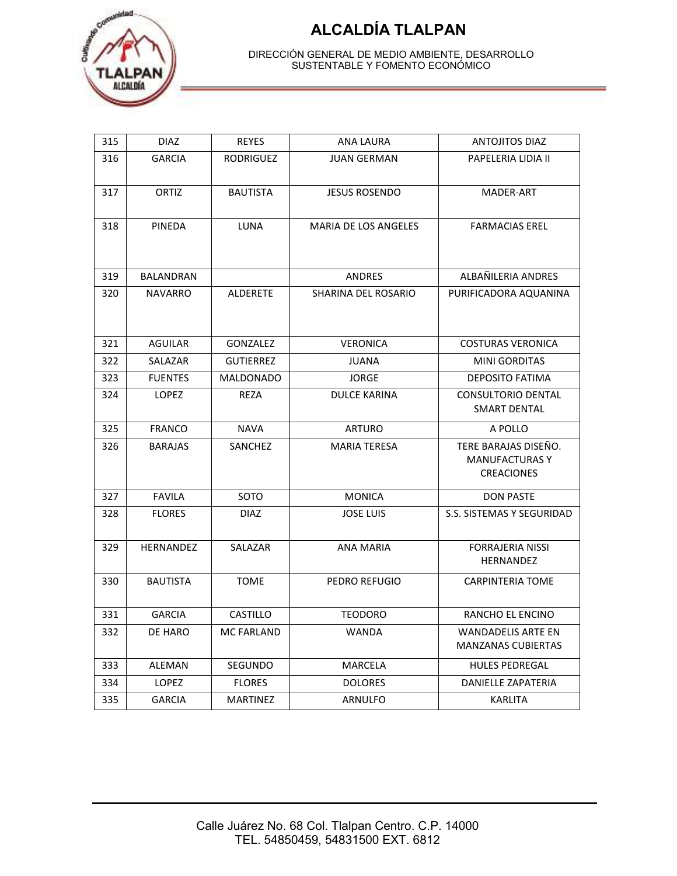

| 315 | <b>DIAZ</b>      | <b>REYES</b>      | <b>ANA LAURA</b>     | <b>ANTOJITOS DIAZ</b>                                              |  |
|-----|------------------|-------------------|----------------------|--------------------------------------------------------------------|--|
| 316 | <b>GARCIA</b>    | <b>RODRIGUEZ</b>  | <b>JUAN GERMAN</b>   | PAPELERIA LIDIA II                                                 |  |
| 317 | ORTIZ            | <b>BAUTISTA</b>   | <b>JESUS ROSENDO</b> | MADER-ART                                                          |  |
| 318 | <b>PINEDA</b>    | LUNA              | MARIA DE LOS ANGELES | <b>FARMACIAS EREL</b>                                              |  |
| 319 | <b>BALANDRAN</b> |                   | <b>ANDRES</b>        | ALBAÑILERIA ANDRES                                                 |  |
| 320 | <b>NAVARRO</b>   | <b>ALDERETE</b>   | SHARINA DEL ROSARIO  | PURIFICADORA AQUANINA                                              |  |
| 321 | <b>AGUILAR</b>   | <b>GONZALEZ</b>   | <b>VERONICA</b>      | <b>COSTURAS VERONICA</b>                                           |  |
| 322 | SALAZAR          | <b>GUTIERREZ</b>  | <b>JUANA</b>         | <b>MINI GORDITAS</b>                                               |  |
| 323 | <b>FUENTES</b>   | <b>MALDONADO</b>  | <b>JORGE</b>         | <b>DEPOSITO FATIMA</b>                                             |  |
| 324 | <b>LOPEZ</b>     | <b>REZA</b>       | <b>DULCE KARINA</b>  | <b>CONSULTORIO DENTAL</b><br><b>SMART DENTAL</b>                   |  |
| 325 | <b>FRANCO</b>    | <b>NAVA</b>       | <b>ARTURO</b>        | A POLLO                                                            |  |
| 326 | <b>BARAJAS</b>   | <b>SANCHEZ</b>    | <b>MARIA TERESA</b>  | TERE BARAJAS DISEÑO.<br><b>MANUFACTURAS Y</b><br><b>CREACIONES</b> |  |
| 327 | <b>FAVILA</b>    | SOTO              | <b>MONICA</b>        | <b>DON PASTE</b>                                                   |  |
| 328 | <b>FLORES</b>    | <b>DIAZ</b>       | <b>JOSE LUIS</b>     | S.S. SISTEMAS Y SEGURIDAD                                          |  |
| 329 | HERNANDEZ        | SALAZAR           | <b>ANA MARIA</b>     | <b>FORRAJERIA NISSI</b><br><b>HERNANDEZ</b>                        |  |
| 330 | <b>BAUTISTA</b>  | <b>TOME</b>       | PEDRO REFUGIO        | <b>CARPINTERIA TOME</b>                                            |  |
| 331 | <b>GARCIA</b>    | CASTILLO          | <b>TEODORO</b>       | RANCHO EL ENCINO                                                   |  |
| 332 | DE HARO          | <b>MC FARLAND</b> | <b>WANDA</b>         | <b>WANDADELIS ARTE EN</b><br><b>MANZANAS CUBIERTAS</b>             |  |
| 333 | ALEMAN           | SEGUNDO           | MARCELA              | <b>HULES PEDREGAL</b>                                              |  |
| 334 | <b>LOPEZ</b>     | <b>FLORES</b>     | <b>DOLORES</b>       | <b>DANIELLE ZAPATERIA</b>                                          |  |
| 335 | <b>GARCIA</b>    | <b>MARTINEZ</b>   | <b>ARNULFO</b>       | <b>KARLITA</b>                                                     |  |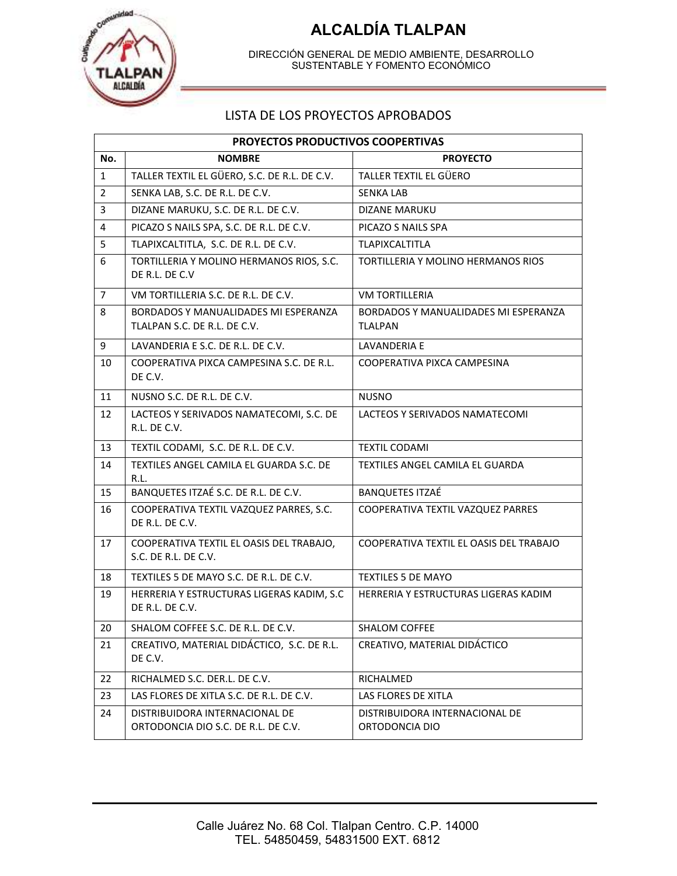

DIRECCIÓN GENERAL DE MEDIO AMBIENTE, DESARROLLO SUSTENTABLE Y FOMENTO ECONÓMICO

#### LISTA DE LOS PROYECTOS APROBADOS

|                | PROYECTOS PRODUCTIVOS COOPERTIVAS                                     |                                                        |  |  |  |  |
|----------------|-----------------------------------------------------------------------|--------------------------------------------------------|--|--|--|--|
| No.            | <b>NOMBRE</b>                                                         | <b>PROYECTO</b>                                        |  |  |  |  |
| $\mathbf{1}$   | TALLER TEXTIL EL GÜERO, S.C. DE R.L. DE C.V.                          | TALLER TEXTIL EL GÜERO                                 |  |  |  |  |
| 2              | SENKA LAB, S.C. DE R.L. DE C.V.                                       | <b>SENKA LAB</b>                                       |  |  |  |  |
| 3              | DIZANE MARUKU, S.C. DE R.L. DE C.V.                                   | DIZANE MARUKU                                          |  |  |  |  |
| $\overline{4}$ | PICAZO S NAILS SPA, S.C. DE R.L. DE C.V.                              | PICAZO S NAILS SPA                                     |  |  |  |  |
| 5              | TLAPIXCALTITLA, S.C. DE R.L. DE C.V.                                  | TLAPIXCALTITLA                                         |  |  |  |  |
| 6              | TORTILLERIA Y MOLINO HERMANOS RIOS, S.C.<br>DE R.L. DE C.V            | TORTILLERIA Y MOLINO HERMANOS RIOS                     |  |  |  |  |
| $\overline{7}$ | VM TORTILLERIA S.C. DE R.L. DE C.V.                                   | <b>VM TORTILLERIA</b>                                  |  |  |  |  |
| 8              | BORDADOS Y MANUALIDADES MI ESPERANZA<br>TLALPAN S.C. DE R.L. DE C.V.  | BORDADOS Y MANUALIDADES MI ESPERANZA<br><b>TLALPAN</b> |  |  |  |  |
| 9              | LAVANDERIA E S.C. DE R.L. DE C.V.                                     | LAVANDERIA E                                           |  |  |  |  |
| 10             | COOPERATIVA PIXCA CAMPESINA S.C. DE R.L.<br>DE C.V.                   | COOPERATIVA PIXCA CAMPESINA                            |  |  |  |  |
| 11             | NUSNO S.C. DE R.L. DE C.V.                                            | <b>NUSNO</b>                                           |  |  |  |  |
| 12             | LACTEOS Y SERIVADOS NAMATECOMI, S.C. DE<br>R.L. DE C.V.               | LACTEOS Y SERIVADOS NAMATECOMI                         |  |  |  |  |
| 13             | TEXTIL CODAMI, S.C. DE R.L. DE C.V.                                   | <b>TEXTIL CODAMI</b>                                   |  |  |  |  |
| 14             | TEXTILES ANGEL CAMILA EL GUARDA S.C. DE<br>R.L.                       | TEXTILES ANGEL CAMILA EL GUARDA                        |  |  |  |  |
| 15             | BANQUETES ITZAÉ S.C. DE R.L. DE C.V.                                  | <b>BANQUETES ITZAÉ</b>                                 |  |  |  |  |
| 16             | COOPERATIVA TEXTIL VAZQUEZ PARRES, S.C.<br>DE R.L. DE C.V.            | COOPERATIVA TEXTIL VAZQUEZ PARRES                      |  |  |  |  |
| 17             | COOPERATIVA TEXTIL EL OASIS DEL TRABAJO,<br>S.C. DE R.L. DE C.V.      | COOPERATIVA TEXTIL EL OASIS DEL TRABAJO                |  |  |  |  |
| 18             | TEXTILES 5 DE MAYO S.C. DE R.L. DE C.V.                               | <b>TEXTILES 5 DE MAYO</b>                              |  |  |  |  |
| 19             | HERRERIA Y ESTRUCTURAS LIGERAS KADIM, S.C<br>DE R.L. DE C.V.          | HERRERIA Y ESTRUCTURAS LIGERAS KADIM                   |  |  |  |  |
| 20             | SHALOM COFFEE S.C. DE R.L. DE C.V.                                    | <b>SHALOM COFFEE</b>                                   |  |  |  |  |
| 21             | CREATIVO, MATERIAL DIDÁCTICO, S.C. DE R.L.<br>DE C.V.                 | CREATIVO, MATERIAL DIDÁCTICO                           |  |  |  |  |
| 22             | RICHALMED S.C. DER.L. DE C.V.                                         | RICHALMED                                              |  |  |  |  |
| 23             | LAS FLORES DE XITLA S.C. DE R.L. DE C.V.                              | LAS FLORES DE XITLA                                    |  |  |  |  |
| 24             | DISTRIBUIDORA INTERNACIONAL DE<br>ORTODONCIA DIO S.C. DE R.L. DE C.V. | DISTRIBUIDORA INTERNACIONAL DE<br>ORTODONCIA DIO       |  |  |  |  |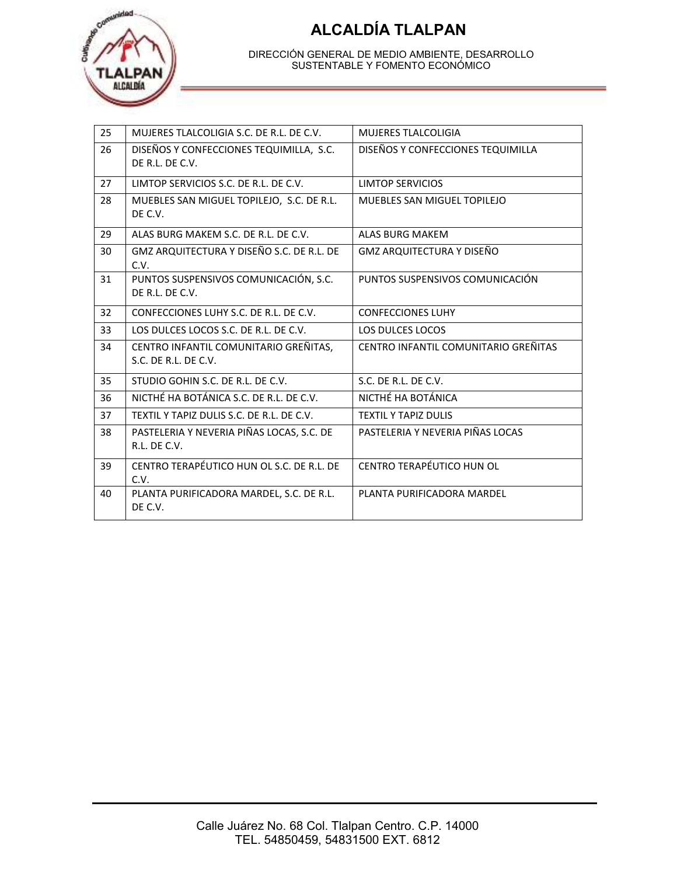

| 25 | MUJERES TLALCOLIGIA S.C. DE R.L. DE C.V.                      | <b>MUJERES TLALCOLIGIA</b>           |
|----|---------------------------------------------------------------|--------------------------------------|
| 26 | DISEÑOS Y CONFECCIONES TEQUIMILLA, S.C.<br>DE R.L. DE C.V.    | DISEÑOS Y CONFECCIONES TEQUIMILLA    |
| 27 | LIMTOP SERVICIOS S.C. DE R.L. DE C.V.                         | LIMTOP SERVICIOS                     |
| 28 | MUEBLES SAN MIGUEL TOPILEJO, S.C. DE R.L.<br>DE C.V.          | MUEBLES SAN MIGUEL TOPILEJO          |
| 29 | ALAS BURG MAKEM S.C. DE R.L. DE C.V.                          | <b>ALAS BURG MAKEM</b>               |
| 30 | GMZ ARQUITECTURA Y DISEÑO S.C. DE R.L. DE<br>C.V.             | GMZ ARQUITECTURA Y DISEÑO            |
| 31 | PUNTOS SUSPENSIVOS COMUNICACIÓN, S.C.<br>DE R.I. DE C.V.      | PUNTOS SUSPENSIVOS COMUNICACIÓN      |
| 32 | CONFECCIONES LUHY S.C. DE R.L. DE C.V.                        | <b>CONFECCIONES LUHY</b>             |
| 33 | LOS DULCES LOCOS S.C. DE R.L. DE C.V.                         | <b>LOS DULCES LOCOS</b>              |
| 34 | CENTRO INFANTIL COMUNITARIO GREÑITAS,<br>S.C. DE R.L. DE C.V. | CENTRO INFANTIL COMUNITARIO GREÑITAS |
| 35 | STUDIO GOHIN S.C. DE R.L. DE C.V.                             | S.C. DE R.L. DE C.V.                 |
| 36 | NICTHÉ HA BOTÁNICA S.C. DE R.L. DE C.V.                       | NICTHÉ HA BOTÁNICA                   |
| 37 | TEXTIL Y TAPIZ DULIS S.C. DE R.L. DE C.V.                     | <b>TEXTIL Y TAPIZ DULIS</b>          |
| 38 | PASTELERIA Y NEVERIA PIÑAS LOCAS, S.C. DE<br>R.I. DF C.V.     | PASTELERIA Y NEVERIA PIÑAS LOCAS     |
| 39 | CENTRO TERAPÉUTICO HUN OL S.C. DE R.L. DE<br>C.V.             | <b>CENTRO TERAPÉUTICO HUN OL</b>     |
| 40 | PLANTA PURIFICADORA MARDEL, S.C. DE R.L.<br>DE C.V.           | PLANTA PURIFICADORA MARDEL           |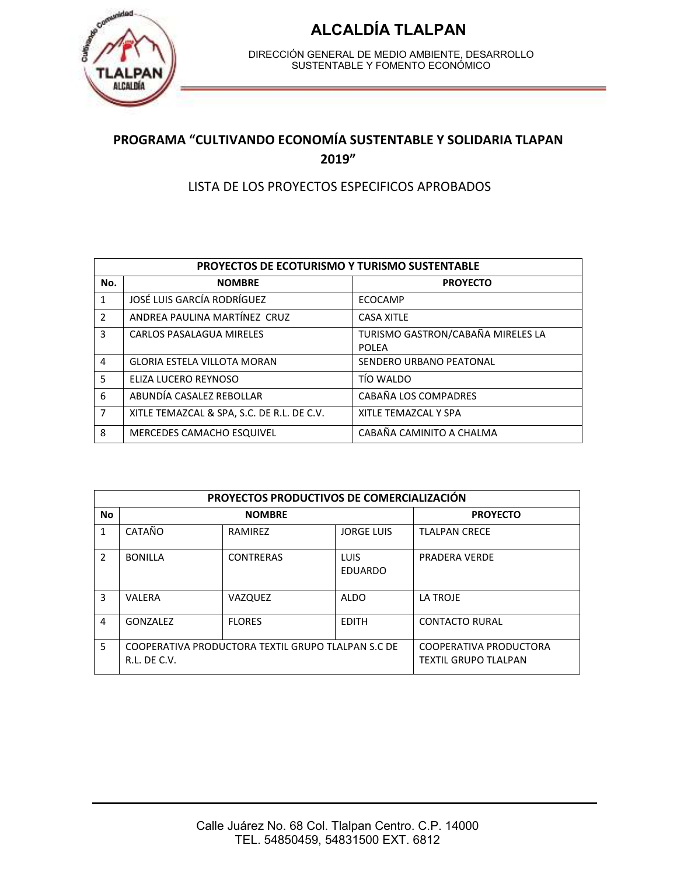

DIRECCIÓN GENERAL DE MEDIO AMBIENTE, DESARROLLO SUSTENTABLE Y FOMENTO ECONÓMICO

#### **PROGRAMA "CULTIVANDO ECONOMÍA SUSTENTABLE Y SOLIDARIA TLAPAN 2019"**

#### LISTA DE LOS PROYECTOS ESPECIFICOS APROBADOS

| <b>PROYECTOS DE ECOTURISMO Y TURISMO SUSTENTABLE</b> |                                            |                                                   |  |  |
|------------------------------------------------------|--------------------------------------------|---------------------------------------------------|--|--|
| No.                                                  | <b>NOMBRE</b>                              | <b>PROYECTO</b>                                   |  |  |
| 1                                                    | JOSÉ LUIS GARCÍA RODRÍGUEZ                 | ECOCAMP                                           |  |  |
| $\mathcal{P}$                                        | ANDREA PAULINA MARTÍNEZ CRUZ               | <b>CASA XITLE</b>                                 |  |  |
| 3                                                    | CARLOS PASALAGUA MIRELES                   | TURISMO GASTRON/CABAÑA MIRELES LA<br><b>POLEA</b> |  |  |
| $\overline{4}$                                       | <b>GLORIA ESTELA VILLOTA MORAN</b>         | SENDERO URBANO PEATONAL                           |  |  |
| 5                                                    | ELIZA LUCERO REYNOSO                       | TÍO WALDO                                         |  |  |
| 6                                                    | ABUNDÍA CASALEZ REBOLLAR                   | CABAÑA LOS COMPADRES                              |  |  |
| $\overline{7}$                                       | XITLE TEMAZCAL & SPA, S.C. DE R.L. DE C.V. | XITLE TEMAZCAL Y SPA                              |  |  |
| 8                                                    | MERCEDES CAMACHO ESQUIVEL                  | CABAÑA CAMINITO A CHALMA                          |  |  |

| <b>PROYECTOS PRODUCTIVOS DE COMERCIALIZACIÓN</b> |                                                                    |                  |                               |                                                       |
|--------------------------------------------------|--------------------------------------------------------------------|------------------|-------------------------------|-------------------------------------------------------|
| No                                               | <b>NOMBRE</b>                                                      |                  |                               | <b>PROYECTO</b>                                       |
| 1                                                | CATAÑO                                                             | RAMIREZ          | <b>JORGE LUIS</b>             | <b>TLALPAN CRECE</b>                                  |
| $\mathcal{P}$                                    | <b>BONILLA</b>                                                     | <b>CONTRERAS</b> | <b>LUIS</b><br><b>EDUARDO</b> | <b>PRADERA VERDE</b>                                  |
| 3                                                | VALERA                                                             | VAZQUEZ          | <b>ALDO</b>                   | LA TROJE                                              |
| 4                                                | GONZALEZ                                                           | <b>FLORES</b>    | <b>EDITH</b>                  | <b>CONTACTO RURAL</b>                                 |
| 5                                                | COOPERATIVA PRODUCTORA TEXTIL GRUPO TLALPAN S.C DE<br>R.L. DE C.V. |                  |                               | COOPERATIVA PRODUCTORA<br><b>TEXTIL GRUPO TLALPAN</b> |